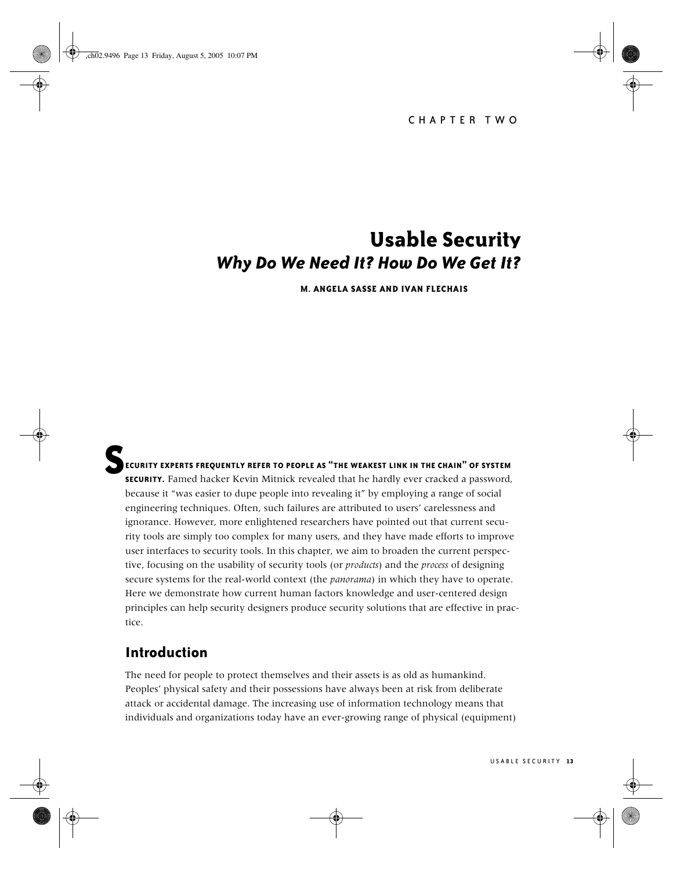# **Usable Security** *Why Do We Need It? How Do We Get It?*

**M. ANGELA SASSE AND IVAN FLECHAIS**

**ECURITY EXPERTS FREQUENTLY REFER TO PEOPLE AS "THE WEAKEST LINK IN THE CHAIN" OF SYSTEM SECURITY.** Famed hacker Kevin Mitnick revealed that he hardly ever cracked a password, because it "was easier to dupe people into revealing it" by employing a range of social engineering techniques. Often, such failures are attributed to users' carelessness and ignorance. However, more enlightened researchers have pointed out that current security tools are simply too complex for many users, and they have made efforts to improve user interfaces to security tools. In this chapter, we aim to broaden the current perspective, focusing on the usability of security tools (or *products*) and the *process* of designing secure systems for the real-world context (the *panorama*) in which they have to operate. Here we demonstrate how current human factors knowledge and user-centered design principles can help security designers produce security solutions that are effective in practice. **S**

### **Introduction**

The need for people to protect themselves and their assets is as old as humankind. Peoples' physical safety and their possessions have always been at risk from deliberate attack or accidental damage. The increasing use of information technology means that individuals and organizations today have an ever-growing range of physical (equipment)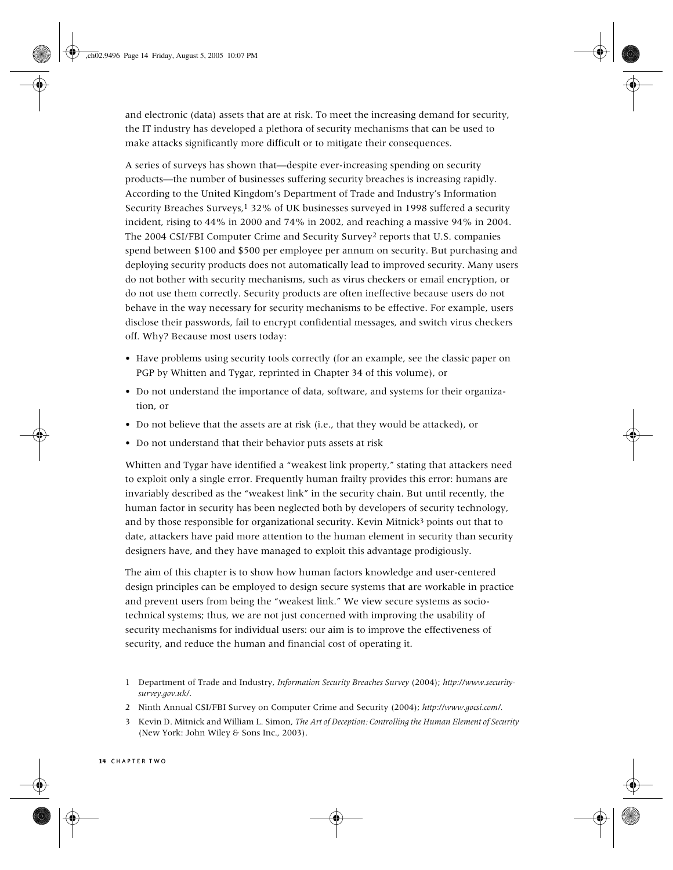and electronic (data) assets that are at risk. To meet the increasing demand for security, the IT industry has developed a plethora of security mechanisms that can be used to make attacks significantly more difficult or to mitigate their consequences.

A series of surveys has shown that—despite ever-increasing spending on security products—the number of businesses suffering security breaches is increasing rapidly. According to the United Kingdom's Department of Trade and Industry's Information Security Breaches Surveys,1 32% of UK businesses surveyed in 1998 suffered a security incident, rising to 44% in 2000 and 74% in 2002, and reaching a massive 94% in 2004. The 2004 CSI/FBI Computer Crime and Security Survey<sup>2</sup> reports that U.S. companies spend between \$100 and \$500 per employee per annum on security. But purchasing and deploying security products does not automatically lead to improved security. Many users do not bother with security mechanisms, such as virus checkers or email encryption, or do not use them correctly. Security products are often ineffective because users do not behave in the way necessary for security mechanisms to be effective. For example, users disclose their passwords, fail to encrypt confidential messages, and switch virus checkers off. Why? Because most users today:

- Have problems using security tools correctly (for an example, see the classic paper on PGP by Whitten and Tygar, reprinted in Chapter 34 of this volume), or
- Do not understand the importance of data, software, and systems for their organization, or
- Do not believe that the assets are at risk (i.e., that they would be attacked), or
- Do not understand that their behavior puts assets at risk

Whitten and Tygar have identified a "weakest link property," stating that attackers need to exploit only a single error. Frequently human frailty provides this error: humans are invariably described as the "weakest link" in the security chain. But until recently, the human factor in security has been neglected both by developers of security technology, and by those responsible for organizational security. Kevin Mitnick3 points out that to date, attackers have paid more attention to the human element in security than security designers have, and they have managed to exploit this advantage prodigiously.

The aim of this chapter is to show how human factors knowledge and user-centered design principles can be employed to design secure systems that are workable in practice and prevent users from being the "weakest link." We view secure systems as sociotechnical systems; thus, we are not just concerned with improving the usability of security mechanisms for individual users: our aim is to improve the effectiveness of security, and reduce the human and financial cost of operating it.

- 1 Department of Trade and Industry, *Information Security Breaches Survey* (2004); *http://www.securitysurvey.gov.uk/*.
- 2 Ninth Annual CSI/FBI Survey on Computer Crime and Security (2004); *http://www.gocsi.com/.*
- 3 Kevin D. Mitnick and William L. Simon, *The Art of Deception: Controlling the Human Element of Security* (New York: John Wiley & Sons Inc., 2003).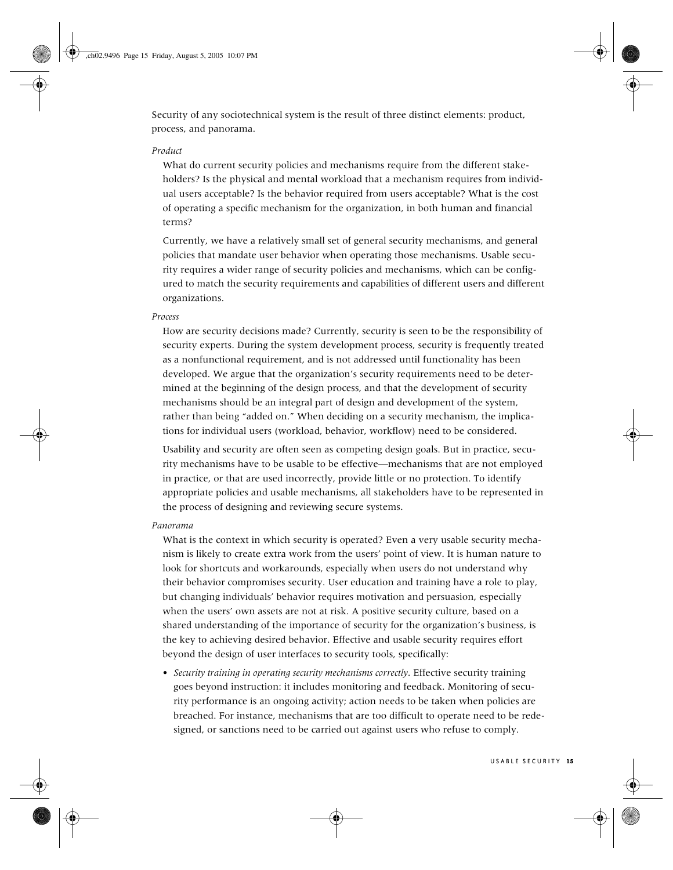Security of any sociotechnical system is the result of three distinct elements: product, process, and panorama.

#### *Product*

What do current security policies and mechanisms require from the different stakeholders? Is the physical and mental workload that a mechanism requires from individual users acceptable? Is the behavior required from users acceptable? What is the cost of operating a specific mechanism for the organization, in both human and financial terms?

Currently, we have a relatively small set of general security mechanisms, and general policies that mandate user behavior when operating those mechanisms. Usable security requires a wider range of security policies and mechanisms, which can be configured to match the security requirements and capabilities of different users and different organizations.

#### *Process*

How are security decisions made? Currently, security is seen to be the responsibility of security experts. During the system development process, security is frequently treated as a nonfunctional requirement, and is not addressed until functionality has been developed. We argue that the organization's security requirements need to be determined at the beginning of the design process, and that the development of security mechanisms should be an integral part of design and development of the system, rather than being "added on." When deciding on a security mechanism, the implications for individual users (workload, behavior, workflow) need to be considered.

Usability and security are often seen as competing design goals. But in practice, security mechanisms have to be usable to be effective—mechanisms that are not employed in practice, or that are used incorrectly, provide little or no protection. To identify appropriate policies and usable mechanisms, all stakeholders have to be represented in the process of designing and reviewing secure systems.

#### *Panorama*

What is the context in which security is operated? Even a very usable security mechanism is likely to create extra work from the users' point of view. It is human nature to look for shortcuts and workarounds, especially when users do not understand why their behavior compromises security. User education and training have a role to play, but changing individuals' behavior requires motivation and persuasion, especially when the users' own assets are not at risk. A positive security culture, based on a shared understanding of the importance of security for the organization's business, is the key to achieving desired behavior. Effective and usable security requires effort beyond the design of user interfaces to security tools, specifically:

• *Security training in operating security mechanisms correctly*. Effective security training goes beyond instruction: it includes monitoring and feedback. Monitoring of security performance is an ongoing activity; action needs to be taken when policies are breached. For instance, mechanisms that are too difficult to operate need to be redesigned, or sanctions need to be carried out against users who refuse to comply.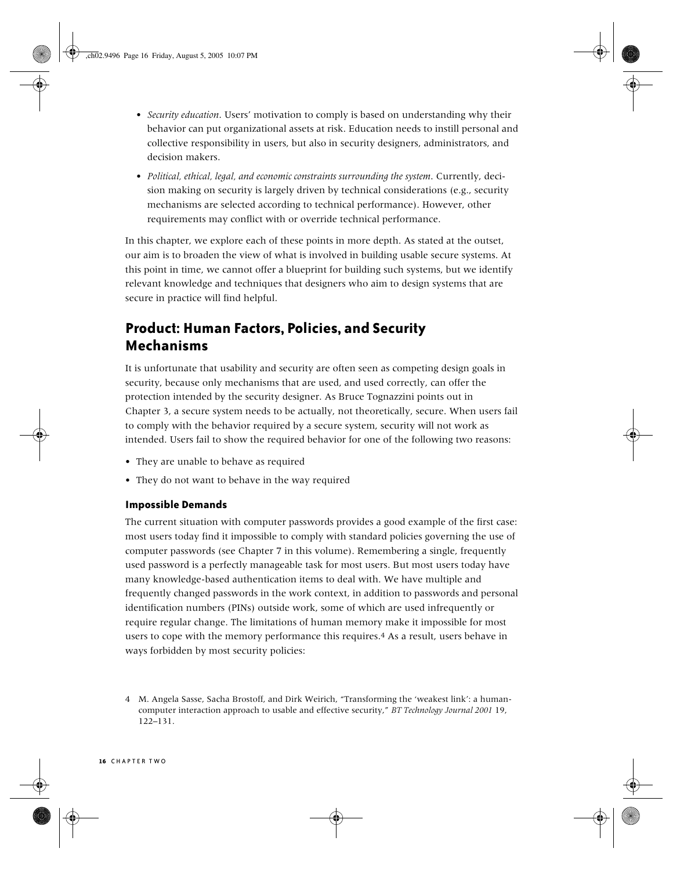- *Security education*. Users' motivation to comply is based on understanding why their behavior can put organizational assets at risk. Education needs to instill personal and collective responsibility in users, but also in security designers, administrators, and decision makers.
- *Political, ethical, legal, and economic constraints surrounding the system*. Currently, decision making on security is largely driven by technical considerations (e.g., security mechanisms are selected according to technical performance). However, other requirements may conflict with or override technical performance.

In this chapter, we explore each of these points in more depth. As stated at the outset, our aim is to broaden the view of what is involved in building usable secure systems. At this point in time, we cannot offer a blueprint for building such systems, but we identify relevant knowledge and techniques that designers who aim to design systems that are secure in practice will find helpful.

# **Product: Human Factors, Policies, and Security Mechanisms**

It is unfortunate that usability and security are often seen as competing design goals in security, because only mechanisms that are used, and used correctly, can offer the protection intended by the security designer. As Bruce Tognazzini points out in Chapter 3, a secure system needs to be actually, not theoretically, secure. When users fail to comply with the behavior required by a secure system, security will not work as intended. Users fail to show the required behavior for one of the following two reasons:

- They are unable to behave as required
- They do not want to behave in the way required

#### **Impossible Demands**

The current situation with computer passwords provides a good example of the first case: most users today find it impossible to comply with standard policies governing the use of computer passwords (see Chapter 7 in this volume). Remembering a single, frequently used password is a perfectly manageable task for most users. But most users today have many knowledge-based authentication items to deal with. We have multiple and frequently changed passwords in the work context, in addition to passwords and personal identification numbers (PINs) outside work, some of which are used infrequently or require regular change. The limitations of human memory make it impossible for most users to cope with the memory performance this requires.4 As a result, users behave in ways forbidden by most security policies:

4 M. Angela Sasse, Sacha Brostoff, and Dirk Weirich, "Transforming the 'weakest link': a humancomputer interaction approach to usable and effective security," *BT Technology Journal 2001* 19, 122–131.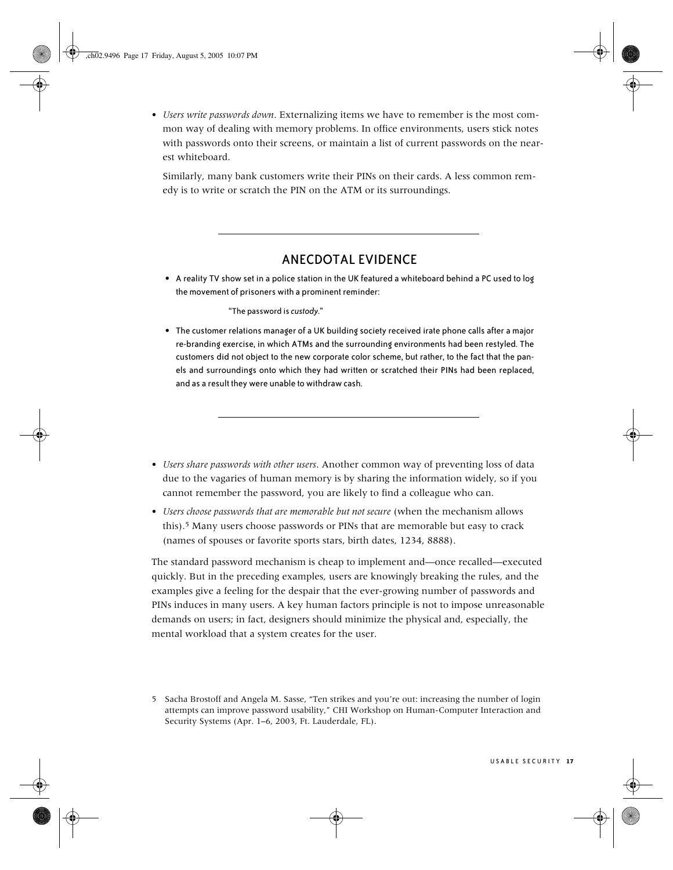• *Users write passwords down*. Externalizing items we have to remember is the most common way of dealing with memory problems. In office environments, users stick notes with passwords onto their screens, or maintain a list of current passwords on the nearest whiteboard.

Similarly, many bank customers write their PINs on their cards. A less common remedy is to write or scratch the PIN on the ATM or its surroundings.

### ANECDOTAL EVIDENCE

• A reality TV show set in a police station in the UK featured a whiteboard behind a PC used to log the movement of prisoners with a prominent reminder:

"The password is*custody*."

- The customer relations manager of a UK building society received irate phone calls after a major re-branding exercise, in which ATMs and the surrounding environments had been restyled. The customers did not object to the new corporate color scheme, but rather, to the fact that the panels and surroundings onto which they had written or scratched their PINs had been replaced, and as a result they were unable to withdraw cash.
- *Users share passwords with other users*. Another common way of preventing loss of data due to the vagaries of human memory is by sharing the information widely, so if you cannot remember the password, you are likely to find a colleague who can.
- *Users choose passwords that are memorable but not secure* (when the mechanism allows this).5 Many users choose passwords or PINs that are memorable but easy to crack (names of spouses or favorite sports stars, birth dates, 1234, 8888).

The standard password mechanism is cheap to implement and—once recalled—executed quickly. But in the preceding examples, users are knowingly breaking the rules, and the examples give a feeling for the despair that the ever-growing number of passwords and PINs induces in many users. A key human factors principle is not to impose unreasonable demands on users; in fact, designers should minimize the physical and, especially, the mental workload that a system creates for the user.

5 Sacha Brostoff and Angela M. Sasse, "Ten strikes and you're out: increasing the number of login attempts can improve password usability," CHI Workshop on Human-Computer Interaction and Security Systems (Apr. 1–6, 2003, Ft. Lauderdale, FL).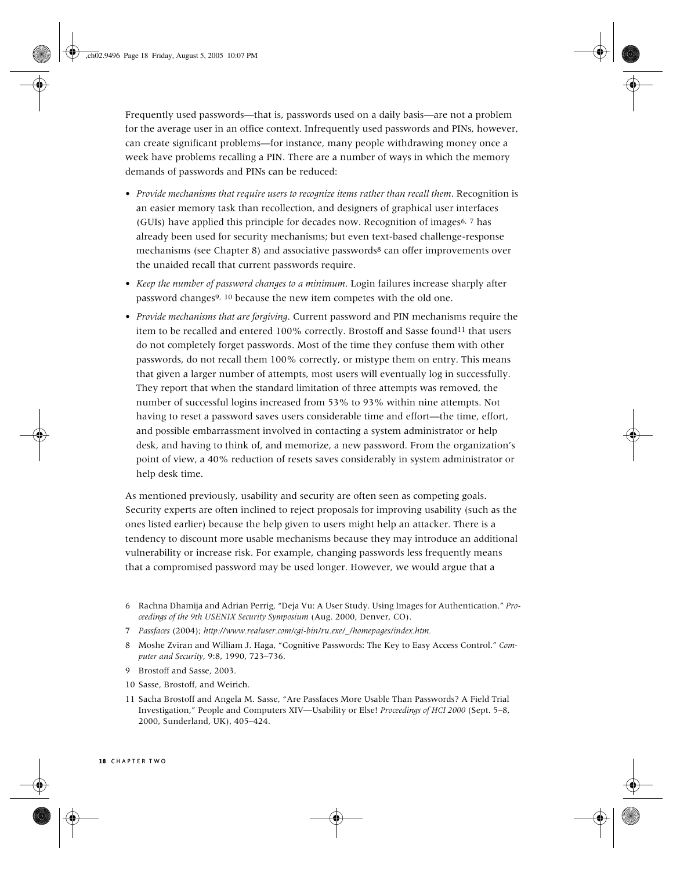Frequently used passwords—that is, passwords used on a daily basis—are not a problem for the average user in an office context. Infrequently used passwords and PINs, however, can create significant problems—for instance, many people withdrawing money once a week have problems recalling a PIN. There are a number of ways in which the memory demands of passwords and PINs can be reduced:

- *Provide mechanisms that require users to recognize items rather than recall them*. Recognition is an easier memory task than recollection, and designers of graphical user interfaces (GUIs) have applied this principle for decades now. Recognition of images6, 7 has already been used for security mechanisms; but even text-based challenge-response mechanisms (see Chapter 8) and associative passwords<sup>8</sup> can offer improvements over the unaided recall that current passwords require.
- *Keep the number of password changes to a minimum*. Login failures increase sharply after password changes9, 10 because the new item competes with the old one.
- *Provide mechanisms that are forgiving*. Current password and PIN mechanisms require the item to be recalled and entered 100% correctly. Brostoff and Sasse found11 that users do not completely forget passwords. Most of the time they confuse them with other passwords, do not recall them 100% correctly, or mistype them on entry. This means that given a larger number of attempts, most users will eventually log in successfully. They report that when the standard limitation of three attempts was removed, the number of successful logins increased from 53% to 93% within nine attempts. Not having to reset a password saves users considerable time and effort—the time, effort, and possible embarrassment involved in contacting a system administrator or help desk, and having to think of, and memorize, a new password. From the organization's point of view, a 40% reduction of resets saves considerably in system administrator or help desk time.

As mentioned previously, usability and security are often seen as competing goals. Security experts are often inclined to reject proposals for improving usability (such as the ones listed earlier) because the help given to users might help an attacker. There is a tendency to discount more usable mechanisms because they may introduce an additional vulnerability or increase risk. For example, changing passwords less frequently means that a compromised password may be used longer. However, we would argue that a

- 6 Rachna Dhamija and Adrian Perrig, "Deja Vu: A User Study. Using Images for Authentication." *Proceedings of the 9th USENIX Security Symposium* (Aug. 2000, Denver, CO).
- 7 *Passfaces* (2004); *http://www.realuser.com/cgi-bin/ru.exe/\_/homepages/index.htm.*
- 8 Moshe Zviran and William J. Haga, "Cognitive Passwords: The Key to Easy Access Control." *Computer and Security*, 9:8, 1990, 723–736.
- 9 Brostoff and Sasse, 2003.
- 10 Sasse, Brostoff, and Weirich.
- 11 Sacha Brostoff and Angela M. Sasse, "Are Passfaces More Usable Than Passwords? A Field Trial Investigation," People and Computers XIV—Usability or Else! *Proceedings of HCI 2000* (Sept. 5–8, 2000, Sunderland, UK), 405–424.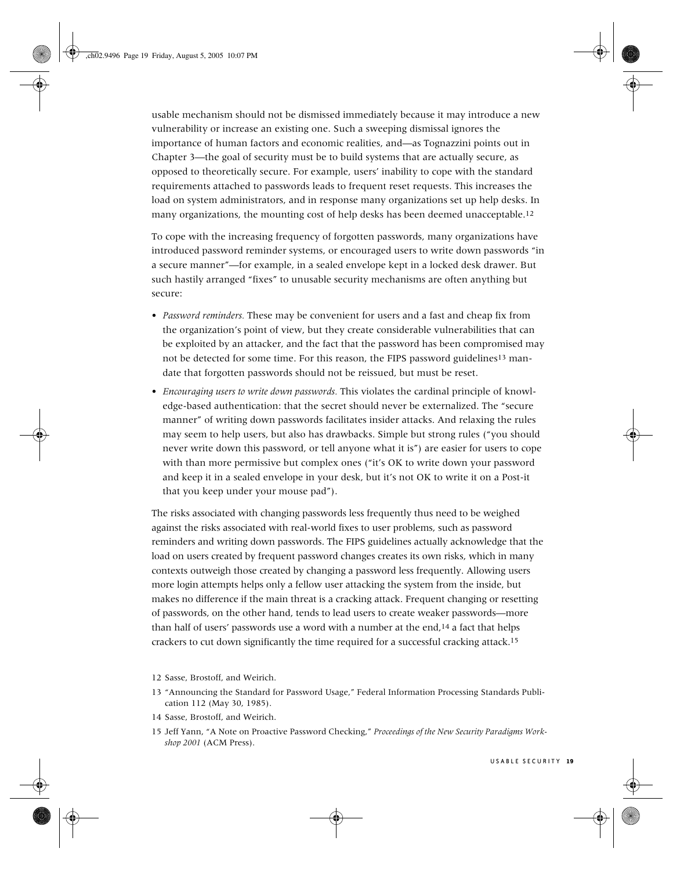usable mechanism should not be dismissed immediately because it may introduce a new vulnerability or increase an existing one. Such a sweeping dismissal ignores the importance of human factors and economic realities, and—as Tognazzini points out in Chapter 3—the goal of security must be to build systems that are actually secure, as opposed to theoretically secure. For example, users' inability to cope with the standard requirements attached to passwords leads to frequent reset requests. This increases the load on system administrators, and in response many organizations set up help desks. In many organizations, the mounting cost of help desks has been deemed unacceptable.12

To cope with the increasing frequency of forgotten passwords, many organizations have introduced password reminder systems, or encouraged users to write down passwords "in a secure manner"—for example, in a sealed envelope kept in a locked desk drawer. But such hastily arranged "fixes" to unusable security mechanisms are often anything but secure:

- *Password reminders.* These may be convenient for users and a fast and cheap fix from the organization's point of view, but they create considerable vulnerabilities that can be exploited by an attacker, and the fact that the password has been compromised may not be detected for some time. For this reason, the FIPS password guidelines<sup>13</sup> mandate that forgotten passwords should not be reissued, but must be reset.
- *Encouraging users to write down passwords.* This violates the cardinal principle of knowledge-based authentication: that the secret should never be externalized. The "secure manner" of writing down passwords facilitates insider attacks. And relaxing the rules may seem to help users, but also has drawbacks. Simple but strong rules ("you should never write down this password, or tell anyone what it is") are easier for users to cope with than more permissive but complex ones ("it's OK to write down your password and keep it in a sealed envelope in your desk, but it's not OK to write it on a Post-it that you keep under your mouse pad").

The risks associated with changing passwords less frequently thus need to be weighed against the risks associated with real-world fixes to user problems, such as password reminders and writing down passwords. The FIPS guidelines actually acknowledge that the load on users created by frequent password changes creates its own risks, which in many contexts outweigh those created by changing a password less frequently. Allowing users more login attempts helps only a fellow user attacking the system from the inside, but makes no difference if the main threat is a cracking attack. Frequent changing or resetting of passwords, on the other hand, tends to lead users to create weaker passwords—more than half of users' passwords use a word with a number at the end,14 a fact that helps crackers to cut down significantly the time required for a successful cracking attack.15

- 12 Sasse, Brostoff, and Weirich.
- 13 "Announcing the Standard for Password Usage," Federal Information Processing Standards Publication 112 (May 30, 1985).
- 14 Sasse, Brostoff, and Weirich.

<sup>15</sup> Jeff Yann, "A Note on Proactive Password Checking," *Proceedings of the New Security Paradigms Workshop 2001* (ACM Press).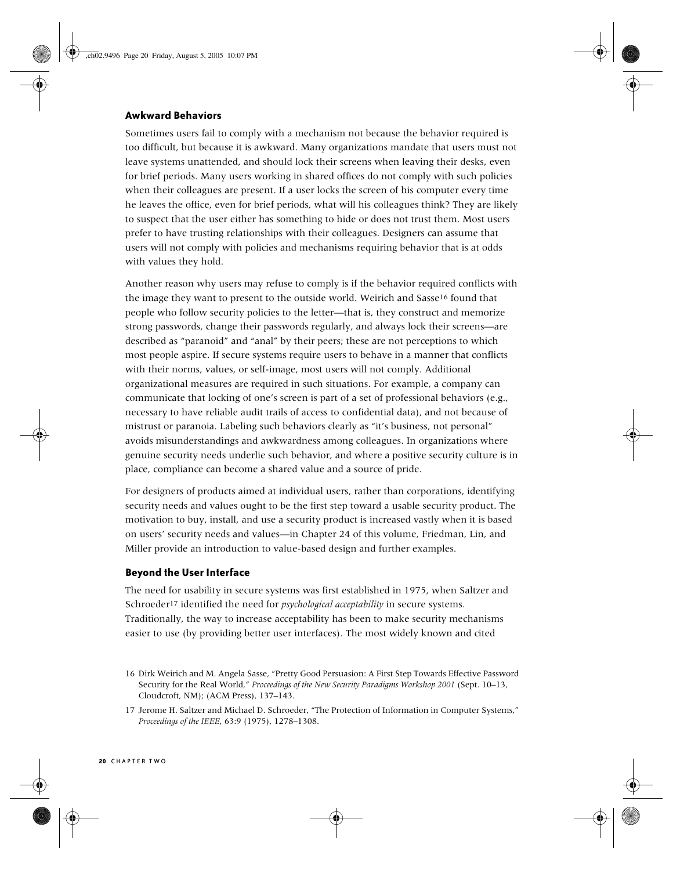#### **Awkward Behaviors**

Sometimes users fail to comply with a mechanism not because the behavior required is too difficult, but because it is awkward. Many organizations mandate that users must not leave systems unattended, and should lock their screens when leaving their desks, even for brief periods. Many users working in shared offices do not comply with such policies when their colleagues are present. If a user locks the screen of his computer every time he leaves the office, even for brief periods, what will his colleagues think? They are likely to suspect that the user either has something to hide or does not trust them. Most users prefer to have trusting relationships with their colleagues. Designers can assume that users will not comply with policies and mechanisms requiring behavior that is at odds with values they hold.

Another reason why users may refuse to comply is if the behavior required conflicts with the image they want to present to the outside world. Weirich and Sasse16 found that people who follow security policies to the letter—that is, they construct and memorize strong passwords, change their passwords regularly, and always lock their screens—are described as "paranoid" and "anal" by their peers; these are not perceptions to which most people aspire. If secure systems require users to behave in a manner that conflicts with their norms, values, or self-image, most users will not comply. Additional organizational measures are required in such situations. For example, a company can communicate that locking of one's screen is part of a set of professional behaviors (e.g., necessary to have reliable audit trails of access to confidential data), and not because of mistrust or paranoia. Labeling such behaviors clearly as "it's business, not personal" avoids misunderstandings and awkwardness among colleagues. In organizations where genuine security needs underlie such behavior, and where a positive security culture is in place, compliance can become a shared value and a source of pride.

For designers of products aimed at individual users, rather than corporations, identifying security needs and values ought to be the first step toward a usable security product. The motivation to buy, install, and use a security product is increased vastly when it is based on users' security needs and values—in Chapter 24 of this volume, Friedman, Lin, and Miller provide an introduction to value-based design and further examples.

#### **Beyond the User Interface**

The need for usability in secure systems was first established in 1975, when Saltzer and Schroeder17 identified the need for *psychological acceptability* in secure systems. Traditionally, the way to increase acceptability has been to make security mechanisms easier to use (by providing better user interfaces). The most widely known and cited

17 Jerome H. Saltzer and Michael D. Schroeder, "The Protection of Information in Computer Systems," *Proceedings of the IEEE*, 63:9 (1975), 1278–1308.

<sup>16</sup> Dirk Weirich and M. Angela Sasse, "Pretty Good Persuasion: A First Step Towards Effective Password Security for the Real World," *Proceedings of the New Security Paradigms Workshop 2001* (Sept. 10–13, Cloudcroft, NM); (ACM Press), 137–143.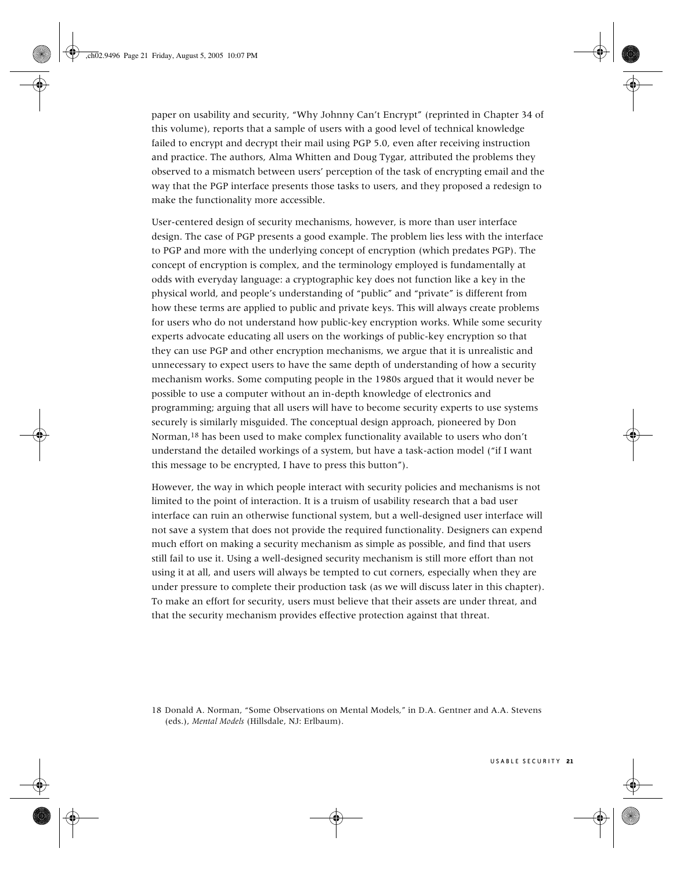paper on usability and security, "Why Johnny Can't Encrypt" (reprinted in Chapter 34 of this volume), reports that a sample of users with a good level of technical knowledge failed to encrypt and decrypt their mail using PGP 5.0, even after receiving instruction and practice. The authors, Alma Whitten and Doug Tygar, attributed the problems they observed to a mismatch between users' perception of the task of encrypting email and the way that the PGP interface presents those tasks to users, and they proposed a redesign to make the functionality more accessible.

User-centered design of security mechanisms, however, is more than user interface design. The case of PGP presents a good example. The problem lies less with the interface to PGP and more with the underlying concept of encryption (which predates PGP). The concept of encryption is complex, and the terminology employed is fundamentally at odds with everyday language: a cryptographic key does not function like a key in the physical world, and people's understanding of "public" and "private" is different from how these terms are applied to public and private keys. This will always create problems for users who do not understand how public-key encryption works. While some security experts advocate educating all users on the workings of public-key encryption so that they can use PGP and other encryption mechanisms, we argue that it is unrealistic and unnecessary to expect users to have the same depth of understanding of how a security mechanism works. Some computing people in the 1980s argued that it would never be possible to use a computer without an in-depth knowledge of electronics and programming; arguing that all users will have to become security experts to use systems securely is similarly misguided. The conceptual design approach, pioneered by Don Norman,18 has been used to make complex functionality available to users who don't understand the detailed workings of a system, but have a task-action model ("if I want this message to be encrypted, I have to press this button").

However, the way in which people interact with security policies and mechanisms is not limited to the point of interaction. It is a truism of usability research that a bad user interface can ruin an otherwise functional system, but a well-designed user interface will not save a system that does not provide the required functionality. Designers can expend much effort on making a security mechanism as simple as possible, and find that users still fail to use it. Using a well-designed security mechanism is still more effort than not using it at all, and users will always be tempted to cut corners, especially when they are under pressure to complete their production task (as we will discuss later in this chapter). To make an effort for security, users must believe that their assets are under threat, and that the security mechanism provides effective protection against that threat.

18 Donald A. Norman, "Some Observations on Mental Models," in D.A. Gentner and A.A. Stevens (eds.), *Mental Models* (Hillsdale, NJ: Erlbaum).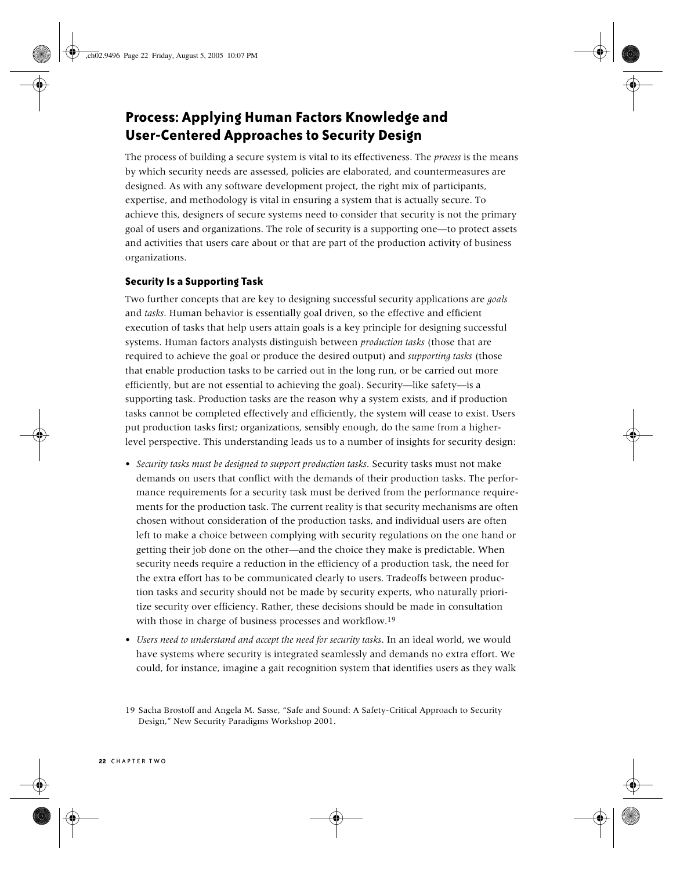# **Process: Applying Human Factors Knowledge and User-Centered Approaches to Security Design**

The process of building a secure system is vital to its effectiveness. The *process* is the means by which security needs are assessed, policies are elaborated, and countermeasures are designed. As with any software development project, the right mix of participants, expertise, and methodology is vital in ensuring a system that is actually secure. To achieve this, designers of secure systems need to consider that security is not the primary goal of users and organizations. The role of security is a supporting one—to protect assets and activities that users care about or that are part of the production activity of business organizations.

### **Security Is a Supporting Task**

Two further concepts that are key to designing successful security applications are *goals* and *tasks*. Human behavior is essentially goal driven, so the effective and efficient execution of tasks that help users attain goals is a key principle for designing successful systems. Human factors analysts distinguish between *production tasks* (those that are required to achieve the goal or produce the desired output) and *supporting tasks* (those that enable production tasks to be carried out in the long run, or be carried out more efficiently, but are not essential to achieving the goal). Security—like safety—is a supporting task. Production tasks are the reason why a system exists, and if production tasks cannot be completed effectively and efficiently, the system will cease to exist. Users put production tasks first; organizations, sensibly enough, do the same from a higherlevel perspective. This understanding leads us to a number of insights for security design:

- *Security tasks must be designed to support production tasks*. Security tasks must not make demands on users that conflict with the demands of their production tasks. The performance requirements for a security task must be derived from the performance requirements for the production task. The current reality is that security mechanisms are often chosen without consideration of the production tasks, and individual users are often left to make a choice between complying with security regulations on the one hand or getting their job done on the other—and the choice they make is predictable. When security needs require a reduction in the efficiency of a production task, the need for the extra effort has to be communicated clearly to users. Tradeoffs between production tasks and security should not be made by security experts, who naturally prioritize security over efficiency. Rather, these decisions should be made in consultation with those in charge of business processes and workflow.19
- *Users need to understand and accept the need for security tasks*. In an ideal world, we would have systems where security is integrated seamlessly and demands no extra effort. We could, for instance, imagine a gait recognition system that identifies users as they walk

19 Sacha Brostoff and Angela M. Sasse, "Safe and Sound: A Safety-Critical Approach to Security Design," New Security Paradigms Workshop 2001.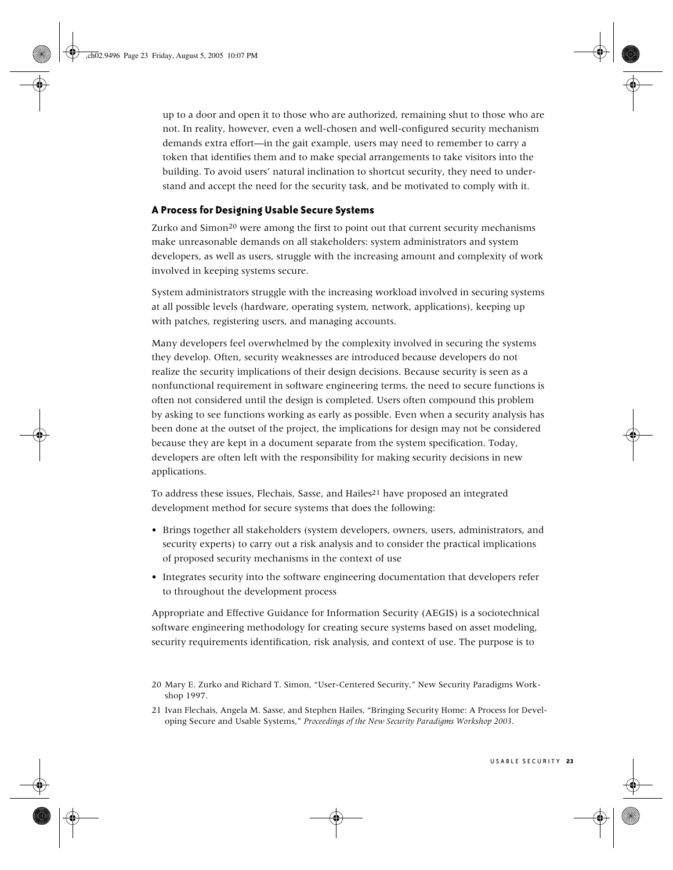up to a door and open it to those who are authorized, remaining shut to those who are not. In reality, however, even a well-chosen and well-configured security mechanism demands extra effort—in the gait example, users may need to remember to carry a token that identifies them and to make special arrangements to take visitors into the building. To avoid users' natural inclination to shortcut security, they need to understand and accept the need for the security task, and be motivated to comply with it.

#### **A Process for Designing Usable Secure Systems**

Zurko and Simon20 were among the first to point out that current security mechanisms make unreasonable demands on all stakeholders: system administrators and system developers, as well as users, struggle with the increasing amount and complexity of work involved in keeping systems secure.

System administrators struggle with the increasing workload involved in securing systems at all possible levels (hardware, operating system, network, applications), keeping up with patches, registering users, and managing accounts.

Many developers feel overwhelmed by the complexity involved in securing the systems they develop. Often, security weaknesses are introduced because developers do not realize the security implications of their design decisions. Because security is seen as a nonfunctional requirement in software engineering terms, the need to secure functions is often not considered until the design is completed. Users often compound this problem by asking to see functions working as early as possible. Even when a security analysis has been done at the outset of the project, the implications for design may not be considered because they are kept in a document separate from the system specification. Today, developers are often left with the responsibility for making security decisions in new applications.

To address these issues, Flechais, Sasse, and Hailes<sup>21</sup> have proposed an integrated development method for secure systems that does the following:

- Brings together all stakeholders (system developers, owners, users, administrators, and security experts) to carry out a risk analysis and to consider the practical implications of proposed security mechanisms in the context of use
- Integrates security into the software engineering documentation that developers refer to throughout the development process

Appropriate and Effective Guidance for Information Security (AEGIS) is a sociotechnical software engineering methodology for creating secure systems based on asset modeling, security requirements identification, risk analysis, and context of use. The purpose is to

- 20 Mary E. Zurko and Richard T. Simon, "User-Centered Security," New Security Paradigms Workshop 1997.
- 21 Ivan Flechais, Angela M. Sasse, and Stephen Hailes, "Bringing Security Home: A Process for Developing Secure and Usable Systems," *Proceedings of the New Security Paradigms Workshop 2003*.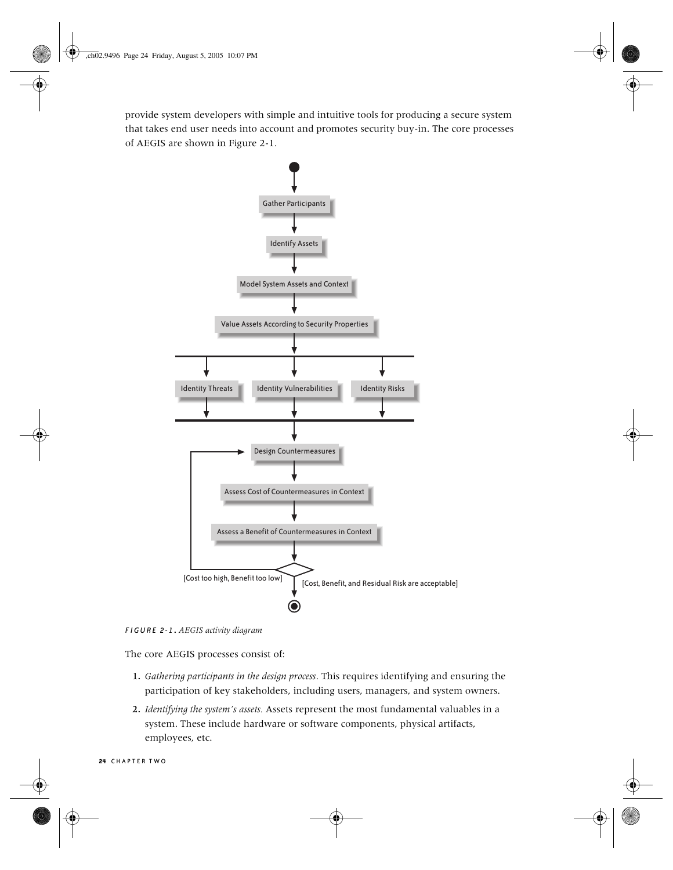provide system developers with simple and intuitive tools for producing a secure system that takes end user needs into account and promotes security buy-in. The core processes of AEGIS are shown in Figure 2-1.



*FIGURE 2-1* **.** *AEGIS activity diagram*

The core AEGIS processes consist of:

- 1. *Gathering participants in the design process*. This requires identifying and ensuring the participation of key stakeholders, including users, managers, and system owners.
- 2. *Identifying the system's assets.* Assets represent the most fundamental valuables in a system. These include hardware or software components, physical artifacts, employees, etc.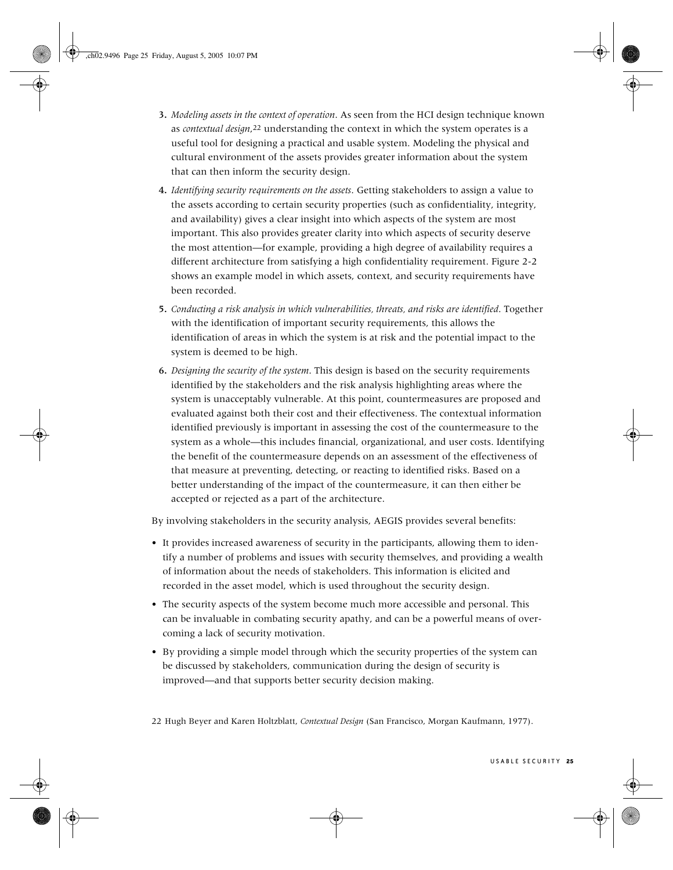- 3. *Modeling assets in the context of operation*. As seen from the HCI design technique known as *contextual design*,22 understanding the context in which the system operates is a useful tool for designing a practical and usable system. Modeling the physical and cultural environment of the assets provides greater information about the system that can then inform the security design.
- 4. *Identifying security requirements on the assets*. Getting stakeholders to assign a value to the assets according to certain security properties (such as confidentiality, integrity, and availability) gives a clear insight into which aspects of the system are most important. This also provides greater clarity into which aspects of security deserve the most attention—for example, providing a high degree of availability requires a different architecture from satisfying a high confidentiality requirement. Figure 2-2 shows an example model in which assets, context, and security requirements have been recorded.
- 5. *Conducting a risk analysis in which vulnerabilities, threats, and risks are identified*. Together with the identification of important security requirements, this allows the identification of areas in which the system is at risk and the potential impact to the system is deemed to be high.
- 6. *Designing the security of the system*. This design is based on the security requirements identified by the stakeholders and the risk analysis highlighting areas where the system is unacceptably vulnerable. At this point, countermeasures are proposed and evaluated against both their cost and their effectiveness. The contextual information identified previously is important in assessing the cost of the countermeasure to the system as a whole—this includes financial, organizational, and user costs. Identifying the benefit of the countermeasure depends on an assessment of the effectiveness of that measure at preventing, detecting, or reacting to identified risks. Based on a better understanding of the impact of the countermeasure, it can then either be accepted or rejected as a part of the architecture.

By involving stakeholders in the security analysis, AEGIS provides several benefits:

- It provides increased awareness of security in the participants, allowing them to identify a number of problems and issues with security themselves, and providing a wealth of information about the needs of stakeholders. This information is elicited and recorded in the asset model, which is used throughout the security design.
- The security aspects of the system become much more accessible and personal. This can be invaluable in combating security apathy, and can be a powerful means of overcoming a lack of security motivation.
- By providing a simple model through which the security properties of the system can be discussed by stakeholders, communication during the design of security is improved—and that supports better security decision making.

22 Hugh Beyer and Karen Holtzblatt, *Contextual Design* (San Francisco, Morgan Kaufmann, 1977).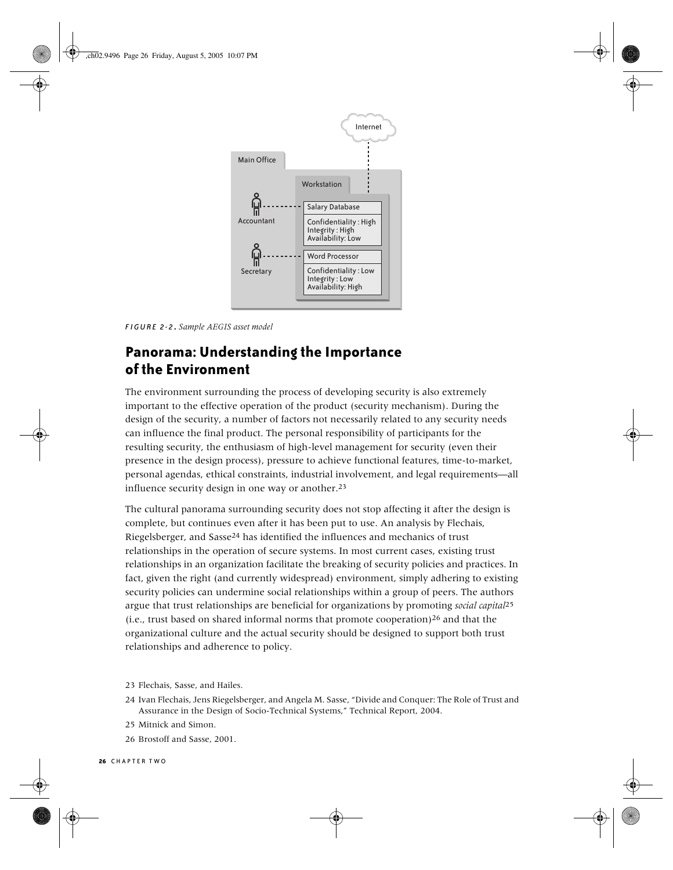,ch02.9496 Page 26 Friday, August 5, 2005 10:07 PM



*FIGURE 2-2* **.** *Sample AEGIS asset model*

# **Panorama: Understanding the Importance of the Environment**

The environment surrounding the process of developing security is also extremely important to the effective operation of the product (security mechanism). During the design of the security, a number of factors not necessarily related to any security needs can influence the final product. The personal responsibility of participants for the resulting security, the enthusiasm of high-level management for security (even their presence in the design process), pressure to achieve functional features, time-to-market, personal agendas, ethical constraints, industrial involvement, and legal requirements—all influence security design in one way or another.23

The cultural panorama surrounding security does not stop affecting it after the design is complete, but continues even after it has been put to use. An analysis by Flechais, Riegelsberger, and Sasse24 has identified the influences and mechanics of trust relationships in the operation of secure systems. In most current cases, existing trust relationships in an organization facilitate the breaking of security policies and practices. In fact, given the right (and currently widespread) environment, simply adhering to existing security policies can undermine social relationships within a group of peers. The authors argue that trust relationships are beneficial for organizations by promoting *social capital*25 (i.e., trust based on shared informal norms that promote cooperation)26 and that the organizational culture and the actual security should be designed to support both trust relationships and adherence to policy.

23 Flechais, Sasse, and Hailes.

- 24 Ivan Flechais, Jens Riegelsberger, and Angela M. Sasse, "Divide and Conquer: The Role of Trust and Assurance in the Design of Socio-Technical Systems," Technical Report, 2004.
- 25 Mitnick and Simon.
- 26 Brostoff and Sasse, 2001.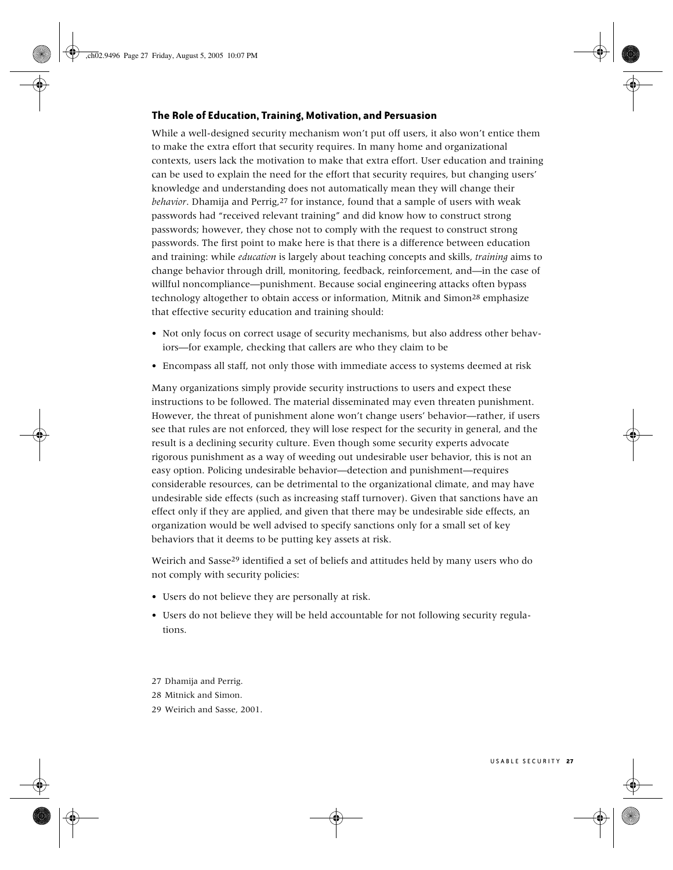#### **The Role of Education, Training, Motivation, and Persuasion**

While a well-designed security mechanism won't put off users, it also won't entice them to make the extra effort that security requires. In many home and organizational contexts, users lack the motivation to make that extra effort. User education and training can be used to explain the need for the effort that security requires, but changing users' knowledge and understanding does not automatically mean they will change their *behavior*. Dhamija and Perrig, <sup>27</sup> for instance, found that a sample of users with weak passwords had "received relevant training" and did know how to construct strong passwords; however, they chose not to comply with the request to construct strong passwords. The first point to make here is that there is a difference between education and training: while *education* is largely about teaching concepts and skills, *training* aims to change behavior through drill, monitoring, feedback, reinforcement, and—in the case of willful noncompliance—punishment. Because social engineering attacks often bypass technology altogether to obtain access or information, Mitnik and Simon28 emphasize that effective security education and training should:

- Not only focus on correct usage of security mechanisms, but also address other behaviors—for example, checking that callers are who they claim to be
- Encompass all staff, not only those with immediate access to systems deemed at risk

Many organizations simply provide security instructions to users and expect these instructions to be followed. The material disseminated may even threaten punishment. However, the threat of punishment alone won't change users' behavior—rather, if users see that rules are not enforced, they will lose respect for the security in general, and the result is a declining security culture. Even though some security experts advocate rigorous punishment as a way of weeding out undesirable user behavior, this is not an easy option. Policing undesirable behavior—detection and punishment—requires considerable resources, can be detrimental to the organizational climate, and may have undesirable side effects (such as increasing staff turnover). Given that sanctions have an effect only if they are applied, and given that there may be undesirable side effects, an organization would be well advised to specify sanctions only for a small set of key behaviors that it deems to be putting key assets at risk.

Weirich and Sasse29 identified a set of beliefs and attitudes held by many users who do not comply with security policies:

- Users do not believe they are personally at risk.
- Users do not believe they will be held accountable for not following security regulations.
- 27 Dhamija and Perrig.
- 28 Mitnick and Simon.
- 29 Weirich and Sasse, 2001.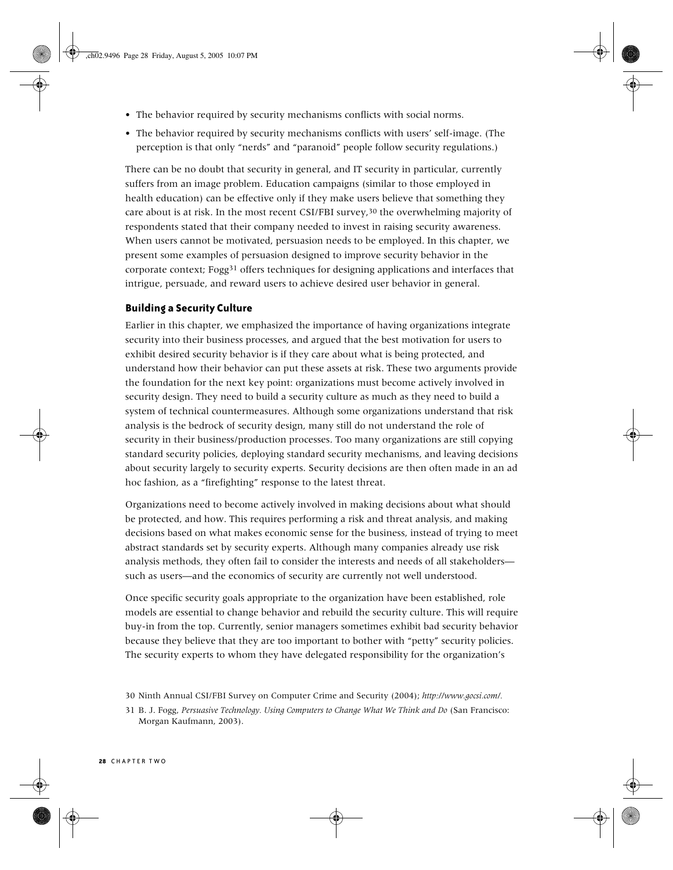- The behavior required by security mechanisms conflicts with social norms.
- The behavior required by security mechanisms conflicts with users' self-image. (The perception is that only "nerds" and "paranoid" people follow security regulations.)

There can be no doubt that security in general, and IT security in particular, currently suffers from an image problem. Education campaigns (similar to those employed in health education) can be effective only if they make users believe that something they care about is at risk. In the most recent CSI/FBI survey,30 the overwhelming majority of respondents stated that their company needed to invest in raising security awareness. When users cannot be motivated, persuasion needs to be employed. In this chapter, we present some examples of persuasion designed to improve security behavior in the corporate context; Fogg31 offers techniques for designing applications and interfaces that intrigue, persuade, and reward users to achieve desired user behavior in general.

#### **Building a Security Culture**

Earlier in this chapter, we emphasized the importance of having organizations integrate security into their business processes, and argued that the best motivation for users to exhibit desired security behavior is if they care about what is being protected, and understand how their behavior can put these assets at risk. These two arguments provide the foundation for the next key point: organizations must become actively involved in security design. They need to build a security culture as much as they need to build a system of technical countermeasures. Although some organizations understand that risk analysis is the bedrock of security design, many still do not understand the role of security in their business/production processes. Too many organizations are still copying standard security policies, deploying standard security mechanisms, and leaving decisions about security largely to security experts. Security decisions are then often made in an ad hoc fashion, as a "firefighting" response to the latest threat.

Organizations need to become actively involved in making decisions about what should be protected, and how. This requires performing a risk and threat analysis, and making decisions based on what makes economic sense for the business, instead of trying to meet abstract standards set by security experts. Although many companies already use risk analysis methods, they often fail to consider the interests and needs of all stakeholders such as users—and the economics of security are currently not well understood.

Once specific security goals appropriate to the organization have been established, role models are essential to change behavior and rebuild the security culture. This will require buy-in from the top. Currently, senior managers sometimes exhibit bad security behavior because they believe that they are too important to bother with "petty" security policies. The security experts to whom they have delegated responsibility for the organization's

<sup>30</sup> Ninth Annual CSI/FBI Survey on Computer Crime and Security (2004); *http://www.gocsi.com/.*

<sup>31</sup> B. J. Fogg, *Persuasive Technology. Using Computers to Change What We Think and Do* (San Francisco: Morgan Kaufmann, 2003).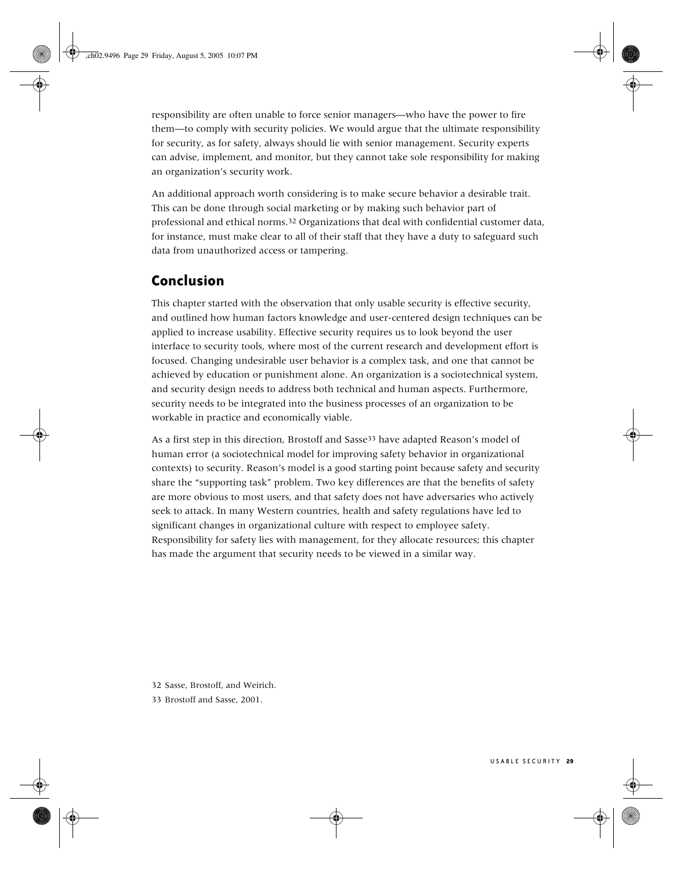responsibility are often unable to force senior managers—who have the power to fire them—to comply with security policies. We would argue that the ultimate responsibility for security, as for safety, always should lie with senior management. Security experts can advise, implement, and monitor, but they cannot take sole responsibility for making an organization's security work.

An additional approach worth considering is to make secure behavior a desirable trait. This can be done through social marketing or by making such behavior part of professional and ethical norms.32 Organizations that deal with confidential customer data, for instance, must make clear to all of their staff that they have a duty to safeguard such data from unauthorized access or tampering.

### **Conclusion**

This chapter started with the observation that only usable security is effective security, and outlined how human factors knowledge and user-centered design techniques can be applied to increase usability. Effective security requires us to look beyond the user interface to security tools, where most of the current research and development effort is focused. Changing undesirable user behavior is a complex task, and one that cannot be achieved by education or punishment alone. An organization is a sociotechnical system, and security design needs to address both technical and human aspects. Furthermore, security needs to be integrated into the business processes of an organization to be workable in practice and economically viable.

As a first step in this direction, Brostoff and Sasse<sup>33</sup> have adapted Reason's model of human error (a sociotechnical model for improving safety behavior in organizational contexts) to security. Reason's model is a good starting point because safety and security share the "supporting task" problem. Two key differences are that the benefits of safety are more obvious to most users, and that safety does not have adversaries who actively seek to attack. In many Western countries, health and safety regulations have led to significant changes in organizational culture with respect to employee safety. Responsibility for safety lies with management, for they allocate resources; this chapter has made the argument that security needs to be viewed in a similar way.

32 Sasse, Brostoff, and Weirich. 33 Brostoff and Sasse, 2001.